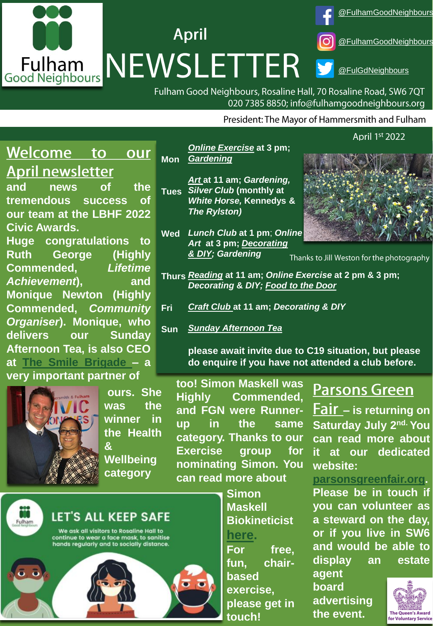

**Mon**

Fulham Good Neighbours, Rosaline Hall, 70 Rosaline Road, SW6 7QT 020 7385 8850; info@fulhamgoodneighbours.org

President: The Mayor of Hammersmith and Fulham

#### Welcome to our **April newsletter**

**and news of the tremendous success of our team at the LBHF 2022 Civic Awards.**

**Huge congratulations to Ruth George (Highly Commended,** *Lifetime Achievement***), and Monique Newton (Highly Commended,** *Community Organiser***). Monique, who delivers our Sunday Afternoon Tea, is also CEO at The Smile [Brigade](https://www.thesmilebrigade.org/) – a**

## **very important partner of**



**ours. She was the winner in the Health &**

**Wellbeing category**

**too! Simon Maskell was Highly Commended, and FGN were Runnerup in the same category. Thanks to our Exercise group for nominating Simon. You can read more about**

> **Simon Maskell**

**[here.](https://maskellbio.com/)**

**based**

**touch!**

**exercise,**

**Biokineticist**

**For free, fun, chair-**

**please get in**

**Parsons Green** 

**– is returning on Saturday July 2 nd. You can read more about it at our dedicated website:**

**[parsonsgreenfair.org](http://www.parsonsgreenfair.org/).**

**Please be in touch if you can volunteer as a steward on the day, or if you live in SW6 and would be able to display an estate**

**agent board advertising the event.**



LET'S ALL KEEP SAFE

We ask all visitors to Rosaline Hall to<br>continue to wear a face mask, to sanitise<br>hands regularly and to socially distance.





**Decorating & DIY;** [Food to the Door](https://www.fulhamgoodneighbours.org/our-services/support-in-the-home-and-garden/support-in-the-home-and-garden-food-to-the-door) **Thurs** *[Reading](https://www.fulhamgoodneighbours.org/our-services/support-in-the-community/support-in-the-community-social-clubs)* **at 11 am;** *Online Exercise* **at 2 pm & 3 pm;** 

- **Fri** *[Craft Club](https://www.fulhamgoodneighbours.org/event/craftclubfridayfree)* **at 11 am;** *Decorating & DIY*
- **Sun** *[Sunday Afternoon Tea](https://www.fulhamgoodneighbours.org/our-services/support-in-the-community/support-in-the-community-social-clubs)*

**Tues** *Silver Club* **(monthly at** 

*[& DIY;](https://www.fulhamgoodneighbours.org/our-services/support-in-the-home-and-garden/support-in-the-home-and-garden-decorating-and-diy) Gardening*

*The Rylston)*

*[Gardening](https://www.fulhamgoodneighbours.org/our-services/support-in-the-home-and-garden/support-in-the-home-and-garden-gardening)*

*[Online Exercise](https://www.fulhamgoodneighbours.org/our-services/we-support-online/we-support-online-chair-based-exercise)* **at 3 pm;** 

*[Art](https://www.fulhamgoodneighbours.org/our-services/we-support-online/we-support-online-art-group)* **at 11 am;** *Gardening,*

*White Horse,* **Kennedys &**

*Art* **at 3 pm;** *[Decorating](https://www.fulhamgoodneighbours.org/our-services/support-in-the-home-and-garden/support-in-the-home-and-garden-decorating-and-diy)* 

**please await invite due to C19 situation, but please do enquire if you have not attended a club before.** 



Online Chair Based

Thanks to Jill Weston for the photography

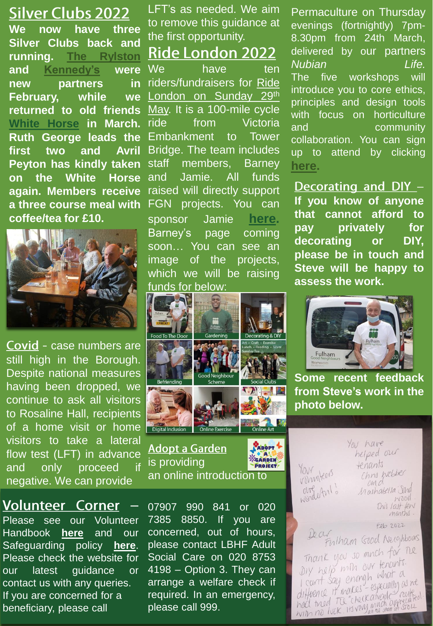## **Silver Clubs 2022**

**We now have three Silver Clubs back and running. The [Rylston](https://www.therylston.com/) and [Kennedy's](https://kennedyslondon.co.uk/) were new partners in February, while we returned to old friends White [Horse](https://www.whitehorsesw6.com/) in March. Ruth George leads the first two and Avril Peyton has kindly taken on the White Horse again. Members receive a three course meal with coffee/tea for £10.**



Covid - case numbers are still high in the Borough. Despite national measures having been dropped, we continue to ask all visitors to Rosaline Hall, recipients of a home visit or home visitors to take a lateral flow test (LFT) in advance and only proceed if negative. We can provide

**Volunteer Corner** Please see our Volunteer Handbook **[here](https://www.fulhamgoodneighbours.org/uploadedimages/fulhamgn/gallery/Volunteer%20Handbook%20v%2030th%20June%202020.pdf)** and our Safeguarding policy **[here](https://www.fulhamgoodneighbours.org/uploadedimages/fulhamgn/gallery/FGNS%20Adult%20Safeguarding%20Policy%20and%20Procedure%20v%2028th%20October%202020.pdf)**. Please check the website for our latest guidance or contact us with any queries. If you are concerned for a beneficiary, please call

LFT's as needed. We aim to remove this guidance at the first opportunity.

**Ride London 2022** 

We have ten [riders/fundraisers](https://www.fulhamgoodneighbours.org/event/RideLondon2022) for Ride London on Sunday 29<sup>th</sup> May. It is a 100-mile cycle ride from Victoria Embankment to Tower Bridge. The team includes staff members, Barney and Jamie. All funds raised will directly support FGN projects. You can sponsor Jamie **[here](https://www.justgiving.com/fundraising/james-hilton8).** Barney's page coming soon… You can see an image of the projects, which we will be raising funds for below:



## **Adopt a Garden** is providing an online introduction to

ADOPT CARDEN PROJECT

07907 990 841 or 020 7385 8850. If you are concerned, out of hours, please contact LBHF Adult Social Care on 020 8753 4198 – Option 3. They can arrange a welfare check if required. In an emergency, please call 999.

Permaculture on Thursday evenings (fortnightly) 7pm-8.30pm from 24th March, delivered by our partners *Nubian Life.* The five workshops will introduce you to core ethics, principles and design tools with focus on horticulture and community collaboration. You can sign up to attend by clicking **[here](https://forms.gle/dKV9o7hVFujPprjX8).**

Decorating and DIY -**If you know of anyone that cannot afford to pay privately for decorating or DIY, please be in touch and Steve will be happy to assess the work.**



**Some recent feedback from Steve's work in the photo below.**

Your Hears argetul. You have helped our tenants Chris hebber om d Mashatella Ind wood This last few

Feb 2022 10 CLV Fulham Good Neighbours Thank you so much for the Dry help min our tenants. Diy help mine of what a I cunt say enough www.<br>diffuence it makes - especially routed difficence it makes - especially railed<br>had tried Tu "checkatrade" railed<br>with no luck. It's very much appreciate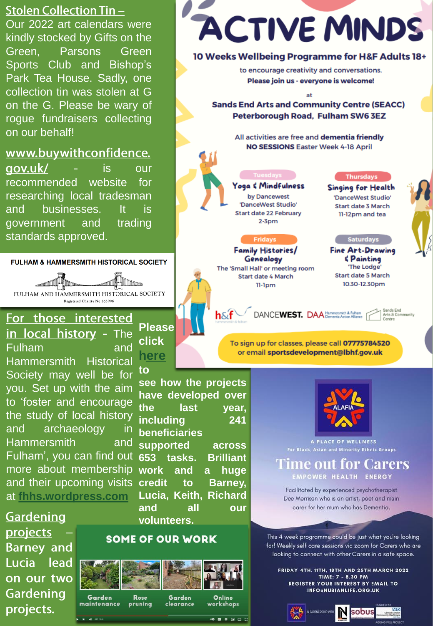## **Stolen Collection Tin-**

Our 2022 art calendars were kindly stocked by Gifts on the Green. **Parsons** Green Sports Club and Bishop's Park Tea House. Sadly, one collection tin was stolen at G on the G. Please be wary of rogue fundraisers collecting on our behalf!

## www.buywithconfidence.

qov.uk/ is our recommended website  $for$ researching local tradesman businesses. and It is government and trading standards approved.

#### **FULHAM & HAMMERSMITH HISTORICAL SOCIETY**

**STATE OF THE STATE OF THE STATE ITT TELESCO** FULHAM AND HAMMERSMITH HISTORICAL SOCIETY Registered Charity No 263906

For those interested in local history - The **Fulham** and

**Hammersmith Historical** Society may well be for you. Set up with the aim to 'foster and encourage the study of local history and archaeology -in **Hammersmith** and Fulham', you can find out more about membership and their upcoming visits at fhhs.wordpress.com

Gardening projects **Barney and** Lucia lead on our two Gardening projects.



pruning

maintenance

to see how the projects have developed over the last vear. includina  $241$ **beneficiaries** supported across 653 tasks. **Brilliant work** and  $\overline{a}$ huge credit to Barney, Lucia, Keith, Richard and all our volunteers.

## **SOME OF OUR WORK**

clearance

**Please** 

click

here



workshops

. . . . . .

# **ACTIVE MINDS**

#### 10 Weeks Wellbeing Programme for H&F Adults 18+

to encourage creativity and conversations. Please join us - everyone is welcome!

at

**Sands End Arts and Community Centre (SEACC)** Peterborough Road, Fulham SW6 3EZ

> All activities are free and dementia friendly NO SESSIONS Easter Week 4-18 April

## Yoga & Mindfulness

by Dancewest 'DanceWest Studio' **Start date 22 February**  $2-3$ pm

#### **Fridays**

Family Histories/ Genealogy The 'Small Hall' or meeting room Start date 4 March 11-1pm

 $h \& f$ 

#### **Thursdays**

Singing for Health 'DanceWest Studio' Start date 3 March 11-12pm and tea

#### **Saturdays**

**Fine Art-Drawing** *<u><i><u><b>S</u>*</del></u> 'The Lodge' **Start date 5 March** 10.30-12.30pm

DANCEWEST. DAA Hammersmith & Fulham

Sands End<br>Arts & Cor

#### To sign up for classes, please call 07775784520 or email sportsdevelopment@lbhf.gov.uk



A PLACE OF WELLNESS **For Black, Asian and Minority Ethnic Groups** 

#### 'ime out for Carers EMPOWER HEALTH ENERGY

Facilitated by experienced psychotherapist Dee Morrison who is an artist, poet and main carer for her mum who has Dementia.

This 4 week programme could be just what you're looking for! Weekly self care sessions via zoom for Carers who are looking to connect with other Carers in a safe space.

FRIDAY 4TH, 11TH, 18TH AND 25TH MARCH 2022 TIME: 7 - 8.30 PM **REGISTER YOUR INTEREST BY EMAIL TO** INFO@NUBIANLIFE.ORG.UK